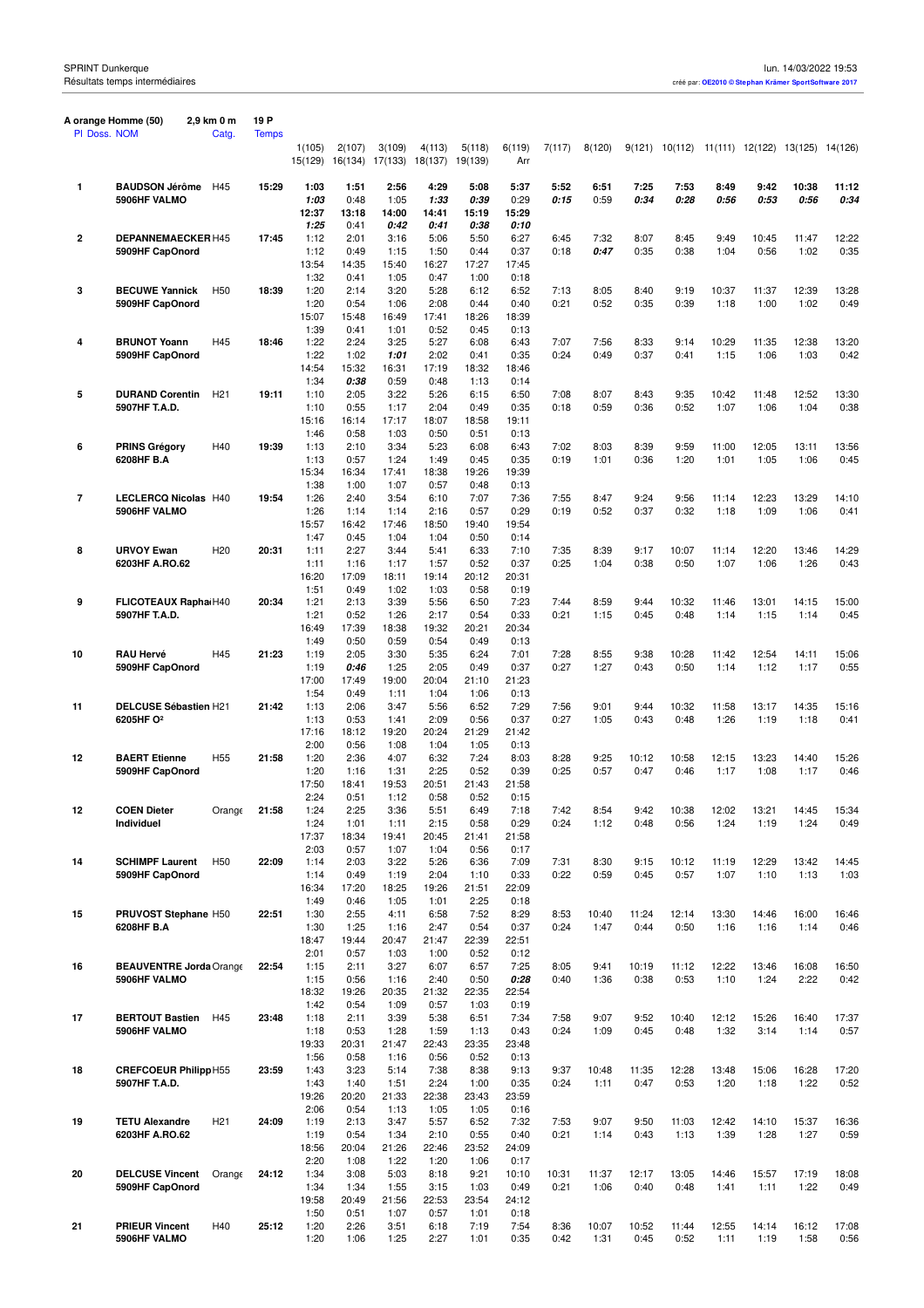|    | A orange Homme (50)                       | 2,9 km 0 m      | 19 P         |               |               |               |               |               |               |               |               |               |               |               |                                                |               |               |
|----|-------------------------------------------|-----------------|--------------|---------------|---------------|---------------|---------------|---------------|---------------|---------------|---------------|---------------|---------------|---------------|------------------------------------------------|---------------|---------------|
|    | PI Doss. NOM                              | Catg.           | <b>Temps</b> | 1(105)        | 2(107)        | 3(109)        | 4(113)        | 5(118)        | 6(119)        | 7(117)        | 8(120)        |               |               |               | 9(121) 10(112) 11(111) 12(122) 13(125) 14(126) |               |               |
|    |                                           |                 |              | 15(129)       | 16(134)       | 17(133)       | 18(137)       | 19(139)       | Arr           |               |               |               |               |               |                                                |               |               |
| 1  | <b>BAUDSON Jérôme</b>                     | H45             | 15:29        | 1:03          | 1:51          | 2:56          | 4:29          | 5:08          | 5:37          | 5:52          | 6:51          | 7:25          | 7:53          | 8:49          | 9:42                                           | 10:38         | 11:12         |
|    | 5906HF VALMO                              |                 |              | 1:03          | 0:48          | 1:05          | 1:33          | 0:39          | 0:29          | 0:15          | 0:59          | 0:34          | 0:28          | 0:56          | 0:53                                           | 0:56          | 0:34          |
|    |                                           |                 |              | 12:37<br>1:25 | 13:18<br>0:41 | 14:00<br>0:42 | 14:41<br>0:41 | 15:19<br>0:38 | 15:29<br>0:10 |               |               |               |               |               |                                                |               |               |
| 2  | <b>DEPANNEMAECKER H45</b>                 |                 | 17:45        | 1:12          | 2:01          | 3:16          | 5:06          | 5:50          | 6:27          | 6:45          | 7:32          | 8:07          | 8:45          | 9:49          | 10:45                                          | 11:47         | 12:22         |
|    | 5909HF CapOnord                           |                 |              | 1:12          | 0:49          | 1:15          | 1:50          | 0:44          | 0:37          | 0:18          | 0:47          | 0:35          | 0:38          | 1:04          | 0:56                                           | 1:02          | 0:35          |
|    |                                           |                 |              | 13:54         | 14:35         | 15:40         | 16:27<br>0:47 | 17:27         | 17:45         |               |               |               |               |               |                                                |               |               |
| 3  | <b>BECUWE Yannick</b>                     | H <sub>50</sub> | 18:39        | 1:32<br>1:20  | 0:41<br>2:14  | 1:05<br>3:20  | 5:28          | 1:00<br>6:12  | 0:18<br>6:52  | 7:13          | 8:05          | 8:40          | 9:19          | 10:37         | 11:37                                          | 12:39         | 13:28         |
|    | 5909HF CapOnord                           |                 |              | 1:20          | 0:54          | 1:06          | 2:08          | 0:44          | 0:40          | 0:21          | 0:52          | 0:35          | 0:39          | 1:18          | 1:00                                           | 1:02          | 0:49          |
|    |                                           |                 |              | 15:07         | 15:48         | 16:49         | 17:41         | 18:26         | 18:39         |               |               |               |               |               |                                                |               |               |
| 4  | <b>BRUNOT Yoann</b>                       | H45             | 18:46        | 1:39<br>1:22  | 0:41<br>2:24  | 1:01<br>3:25  | 0:52<br>5:27  | 0:45<br>6:08  | 0:13<br>6:43  | 7:07          | 7:56          | 8:33          | 9:14          | 10:29         | 11:35                                          | 12:38         | 13:20         |
|    | 5909HF CapOnord                           |                 |              | 1:22          | 1:02          | 1:01          | 2:02          | 0:41          | 0:35          | 0:24          | 0:49          | 0:37          | 0:41          | 1:15          | 1:06                                           | 1:03          | 0:42          |
|    |                                           |                 |              | 14:54         | 15:32         | 16:31         | 17:19         | 18:32         | 18:46         |               |               |               |               |               |                                                |               |               |
|    |                                           |                 |              | 1:34          | 0:38          | 0:59          | 0:48          | 1:13          | 0:14          |               |               |               |               |               |                                                |               |               |
| 5  | <b>DURAND Corentin</b><br>5907HF T.A.D.   | H <sub>21</sub> | 19:11        | 1:10<br>1:10  | 2:05<br>0:55  | 3:22<br>1:17  | 5:26<br>2:04  | 6:15<br>0:49  | 6:50<br>0:35  | 7:08<br>0:18  | 8:07<br>0:59  | 8:43<br>0:36  | 9:35<br>0:52  | 10:42<br>1:07 | 11:48<br>1:06                                  | 12:52<br>1:04 | 13:30<br>0:38 |
|    |                                           |                 |              | 15:16         | 16:14         | 17:17         | 18:07         | 18:58         | 19:11         |               |               |               |               |               |                                                |               |               |
|    |                                           |                 |              | 1:46          | 0:58          | 1:03          | 0:50          | 0:51          | 0:13          |               |               |               |               |               |                                                |               |               |
| 6  | <b>PRINS Grégory</b>                      | H40             | 19:39        | 1:13          | 2:10          | 3:34          | 5:23          | 6:08          | 6:43          | 7:02          | 8:03          | 8:39          | 9:59          | 11:00         | 12:05                                          | 13:11         | 13:56         |
|    | 6208HF B.A                                |                 |              | 1:13<br>15:34 | 0:57<br>16:34 | 1:24<br>17:41 | 1:49<br>18:38 | 0:45<br>19:26 | 0:35<br>19:39 | 0:19          | 1:01          | 0:36          | 1:20          | 1:01          | 1:05                                           | 1:06          | 0:45          |
|    |                                           |                 |              | 1:38          | 1:00          | 1:07          | 0:57          | 0:48          | 0:13          |               |               |               |               |               |                                                |               |               |
| 7  | <b>LECLERCQ Nicolas H40</b>               |                 | 19:54        | 1:26          | 2:40          | 3:54          | 6:10          | 7:07          | 7:36          | 7:55          | 8:47          | 9:24          | 9:56          | 11:14         | 12:23                                          | 13:29         | 14:10         |
|    | 5906HF VALMO                              |                 |              | 1:26          | 1:14          | 1:14          | 2:16          | 0:57          | 0:29          | 0:19          | 0:52          | 0:37          | 0:32          | 1:18          | 1:09                                           | 1:06          | 0:41          |
|    |                                           |                 |              | 15:57<br>1:47 | 16:42<br>0:45 | 17:46<br>1:04 | 18:50<br>1:04 | 19:40<br>0:50 | 19:54<br>0:14 |               |               |               |               |               |                                                |               |               |
| 8  | <b>URVOY Ewan</b>                         | H <sub>20</sub> | 20:31        | 1:11          | 2:27          | 3:44          | 5:41          | 6:33          | 7:10          | 7:35          | 8:39          | 9:17          | 10:07         | 11:14         | 12:20                                          | 13:46         | 14:29         |
|    | 6203HF A.RO.62                            |                 |              | 1:11          | 1:16          | 1:17          | 1:57          | 0:52          | 0:37          | 0:25          | 1:04          | 0:38          | 0:50          | 1:07          | 1:06                                           | 1:26          | 0:43          |
|    |                                           |                 |              | 16:20         | 17:09         | 18:11         | 19:14         | 20:12         | 20:31         |               |               |               |               |               |                                                |               |               |
| 9  | FLICOTEAUX RaphaiH40                      |                 | 20:34        | 1:51<br>1:21  | 0:49<br>2:13  | 1:02<br>3:39  | 1:03<br>5:56  | 0:58<br>6:50  | 0:19<br>7:23  | 7:44          | 8:59          | 9:44          | 10:32         | 11:46         | 13:01                                          | 14:15         | 15:00         |
|    | 5907HF T.A.D.                             |                 |              | 1:21          | 0:52          | 1:26          | 2:17          | 0:54          | 0:33          | 0:21          | 1:15          | 0:45          | 0:48          | 1:14          | 1:15                                           | 1:14          | 0:45          |
|    |                                           |                 |              | 16:49         | 17:39         | 18:38         | 19:32         | 20:21         | 20:34         |               |               |               |               |               |                                                |               |               |
|    |                                           |                 |              | 1:49          | 0:50          | 0:59          | 0:54          | 0:49          | 0:13          |               |               |               |               |               |                                                |               |               |
| 10 | <b>RAU Hervé</b><br>5909HF CapOnord       | H45             | 21:23        | 1:19<br>1:19  | 2:05<br>0:46  | 3:30<br>1:25  | 5:35<br>2:05  | 6:24<br>0:49  | 7:01<br>0:37  | 7:28<br>0:27  | 8:55<br>1:27  | 9:38<br>0:43  | 10:28<br>0:50 | 11:42<br>1:14 | 12:54<br>1:12                                  | 14:11<br>1:17 | 15:06<br>0:55 |
|    |                                           |                 |              | 17:00         | 17:49         | 19:00         | 20:04         | 21:10         | 21:23         |               |               |               |               |               |                                                |               |               |
|    |                                           |                 |              | 1:54          | 0:49          | 1:11          | 1:04          | 1:06          | 0:13          |               |               |               |               |               |                                                |               |               |
| 11 | DELCUSE Sébastien H21                     |                 | 21:42        | 1:13          | 2:06          | 3:47          | 5:56          | 6:52          | 7:29          | 7:56          | 9:01          | 9:44          | 10:32         | 11:58         | 13:17                                          | 14:35         | 15:16         |
|    | 6205HF O <sup>2</sup>                     |                 |              | 1:13<br>17:16 | 0:53<br>18:12 | 1:41<br>19:20 | 2:09<br>20:24 | 0:56<br>21:29 | 0:37<br>21:42 | 0:27          | 1:05          | 0:43          | 0:48          | 1:26          | 1:19                                           | 1:18          | 0:41          |
|    |                                           |                 |              | 2:00          | 0:56          | 1:08          | 1:04          | 1:05          | 0:13          |               |               |               |               |               |                                                |               |               |
| 12 | <b>BAERT Etienne</b>                      | H <sub>55</sub> | 21:58        | 1:20          | 2:36          | 4:07          | 6:32          | 7:24          | 8:03          | 8:28          | 9:25          | 10:12         | 10:58         | 12:15         | 13:23                                          | 14:40         | 15:26         |
|    | 5909HF CapOnord                           |                 |              | 1:20          | 1:16          | 1:31          | 2:25          | 0:52          | 0:39          | 0:25          | 0:57          | 0:47          | 0:46          | 1:17          | 1:08                                           | 1:17          | 0:46          |
|    |                                           |                 |              | 17:50<br>2:24 | 18:41<br>0:51 | 19:53<br>1:12 | 20:51<br>0:58 | 21:43<br>0:52 | 21:58<br>0:15 |               |               |               |               |               |                                                |               |               |
| 12 | <b>COEN Dieter</b>                        | Orange          | 21:58        | 1:24          | 2:25          | 3:36          | 5:51          | 6:49          | 7:18          | 7:42          | 8:54          | 9:42          | 10:38         | 12:02         | 13:21                                          | 14:45         | 15:34         |
|    | Individuel                                |                 |              | 1:24          | 1:01          | 1:11          | 2:15          | 0:58          | 0:29          | 0:24          | 1:12          | 0:48          | 0:56          | 1:24          | 1:19                                           | 1:24          | 0:49          |
|    |                                           |                 |              | 17:37         | 18:34         | 19:41         | 20:45         | 21:41         | 21:58         |               |               |               |               |               |                                                |               |               |
| 14 | <b>SCHIMPF Laurent</b>                    | H <sub>50</sub> | 22:09        | 2:03<br>1:14  | 0:57<br>2:03  | 1:07<br>3:22  | 1:04<br>5:26  | 0:56<br>6:36  | 0:17<br>7:09  | 7:31          | 8:30          | 9:15          | 10:12         | 11:19         | 12:29                                          | 13:42         | 14:45         |
|    | 5909HF CapOnord                           |                 |              | 1:14          | 0:49          | 1:19          | 2:04          | 1:10          | 0:33          | 0:22          | 0:59          | 0:45          | 0:57          | 1:07          | 1:10                                           | 1:13          | 1:03          |
|    |                                           |                 |              | 16:34         | 17:20         | 18:25         | 19:26         | 21:51         | 22:09         |               |               |               |               |               |                                                |               |               |
|    |                                           |                 |              | 1:49          | 0:46          | 1:05          | 1:01          | 2:25          | 0:18          |               |               |               |               |               |                                                |               |               |
| 15 | PRUVOST Stephane H50<br>6208HF B.A        |                 | 22:51        | 1:30<br>1:30  | 2:55<br>1:25  | 4:11<br>1:16  | 6:58<br>2:47  | 7:52<br>0:54  | 8:29<br>0:37  | 8:53<br>0:24  | 10:40<br>1:47 | 11:24<br>0:44 | 12:14<br>0:50 | 13:30<br>1:16 | 14:46<br>1:16                                  | 16:00<br>1:14 | 16:46<br>0:46 |
|    |                                           |                 |              | 18:47         | 19:44         | 20:47         | 21:47         | 22:39         | 22:51         |               |               |               |               |               |                                                |               |               |
|    |                                           |                 |              | 2:01          | 0:57          | 1:03          | 1:00          | 0:52          | 0:12          |               |               |               |               |               |                                                |               |               |
| 16 | <b>BEAUVENTRE Jorda Orange</b>            |                 | 22:54        | 1:15          | 2:11          | 3:27          | 6:07          | 6:57          | 7:25          | 8:05          | 9:41          | 10:19         | 11:12         | 12:22         | 13:46                                          | 16:08         | 16:50         |
|    | 5906HF VALMO                              |                 |              | 1:15<br>18:32 | 0:56<br>19:26 | 1:16<br>20:35 | 2:40<br>21:32 | 0:50<br>22:35 | 0:28<br>22:54 | 0:40          | 1:36          | 0:38          | 0:53          | 1:10          | 1:24                                           | 2:22          | 0:42          |
|    |                                           |                 |              | 1:42          | 0:54          | 1:09          | 0:57          | 1:03          | 0:19          |               |               |               |               |               |                                                |               |               |
| 17 | <b>BERTOUT Bastien</b>                    | H45             | 23:48        | 1:18          | 2:11          | 3:39          | 5:38          | 6:51          | 7:34          | 7:58          | 9:07          | 9:52          | 10:40         | 12:12         | 15:26                                          | 16:40         | 17:37         |
|    | 5906HF VALMO                              |                 |              | 1:18          | 0:53          | 1:28          | 1:59          | 1:13          | 0:43          | 0:24          | 1:09          | 0:45          | 0:48          | 1:32          | 3:14                                           | 1:14          | 0:57          |
|    |                                           |                 |              | 19:33<br>1:56 | 20:31<br>0:58 | 21:47<br>1:16 | 22:43<br>0:56 | 23:35<br>0:52 | 23:48<br>0:13 |               |               |               |               |               |                                                |               |               |
| 18 | <b>CREFCOEUR PhilippH55</b>               |                 | 23:59        | 1:43          | 3:23          | 5:14          | 7:38          | 8:38          | 9:13          | 9:37          | 10:48         | 11:35         | 12:28         | 13:48         | 15:06                                          | 16:28         | 17:20         |
|    | 5907HF T.A.D.                             |                 |              | 1:43          | 1:40          | 1:51          | 2:24          | 1:00          | 0:35          | 0:24          | 1:11          | 0:47          | 0:53          | 1:20          | 1:18                                           | 1:22          | 0:52          |
|    |                                           |                 |              | 19:26         | 20:20         | 21:33         | 22:38         | 23:43         | 23:59         |               |               |               |               |               |                                                |               |               |
| 19 | <b>TETU Alexandre</b>                     | H <sub>21</sub> | 24:09        | 2:06<br>1:19  | 0:54<br>2:13  | 1:13<br>3:47  | 1:05<br>5:57  | 1:05<br>6:52  | 0:16<br>7:32  | 7:53          | 9:07          | 9:50          | 11:03         | 12:42         | 14:10                                          | 15:37         | 16:36         |
|    | 6203HF A.RO.62                            |                 |              | 1:19          | 0:54          | 1:34          | 2:10          | 0:55          | 0:40          | 0:21          | 1:14          | 0:43          | 1:13          | 1:39          | 1:28                                           | 1:27          | 0:59          |
|    |                                           |                 |              | 18:56         | 20:04         | 21:26         | 22:46         | 23:52         | 24:09         |               |               |               |               |               |                                                |               |               |
|    |                                           |                 |              | 2:20          | 1:08          | 1:22          | 1:20          | 1:06          | 0:17          |               |               |               |               |               |                                                |               |               |
| 20 | <b>DELCUSE Vincent</b><br>5909HF CapOnord | Orange          | 24:12        | 1:34<br>1:34  | 3:08<br>1:34  | 5:03<br>1:55  | 8:18<br>3:15  | 9:21<br>1:03  | 10:10<br>0:49 | 10:31<br>0:21 | 11:37<br>1:06 | 12:17<br>0:40 | 13:05<br>0:48 | 14:46<br>1:41 | 15:57<br>1:11                                  | 17:19<br>1:22 | 18:08<br>0:49 |
|    |                                           |                 |              | 19:58         | 20:49         | 21:56         | 22:53         | 23:54         | 24:12         |               |               |               |               |               |                                                |               |               |
|    |                                           |                 |              | 1:50          | 0:51          | 1:07          | 0:57          | 1:01          | 0:18          |               |               |               |               |               |                                                |               |               |
| 21 | <b>PRIEUR Vincent</b>                     | H40             | 25:12        | 1:20          | 2:26          | 3:51          | 6:18          | 7:19          | 7:54          | 8:36          | 10:07         | 10:52         | 11:44         | 12:55         | 14:14                                          | 16:12         | 17:08         |
|    | 5906HF VALMO                              |                 |              | 1:20          | 1:06          | 1:25          | 2:27          | 1:01          | 0:35          | 0:42          | 1:31          | 0:45          | 0:52          | 1:11          | 1:19                                           | 1:58          | 0:56          |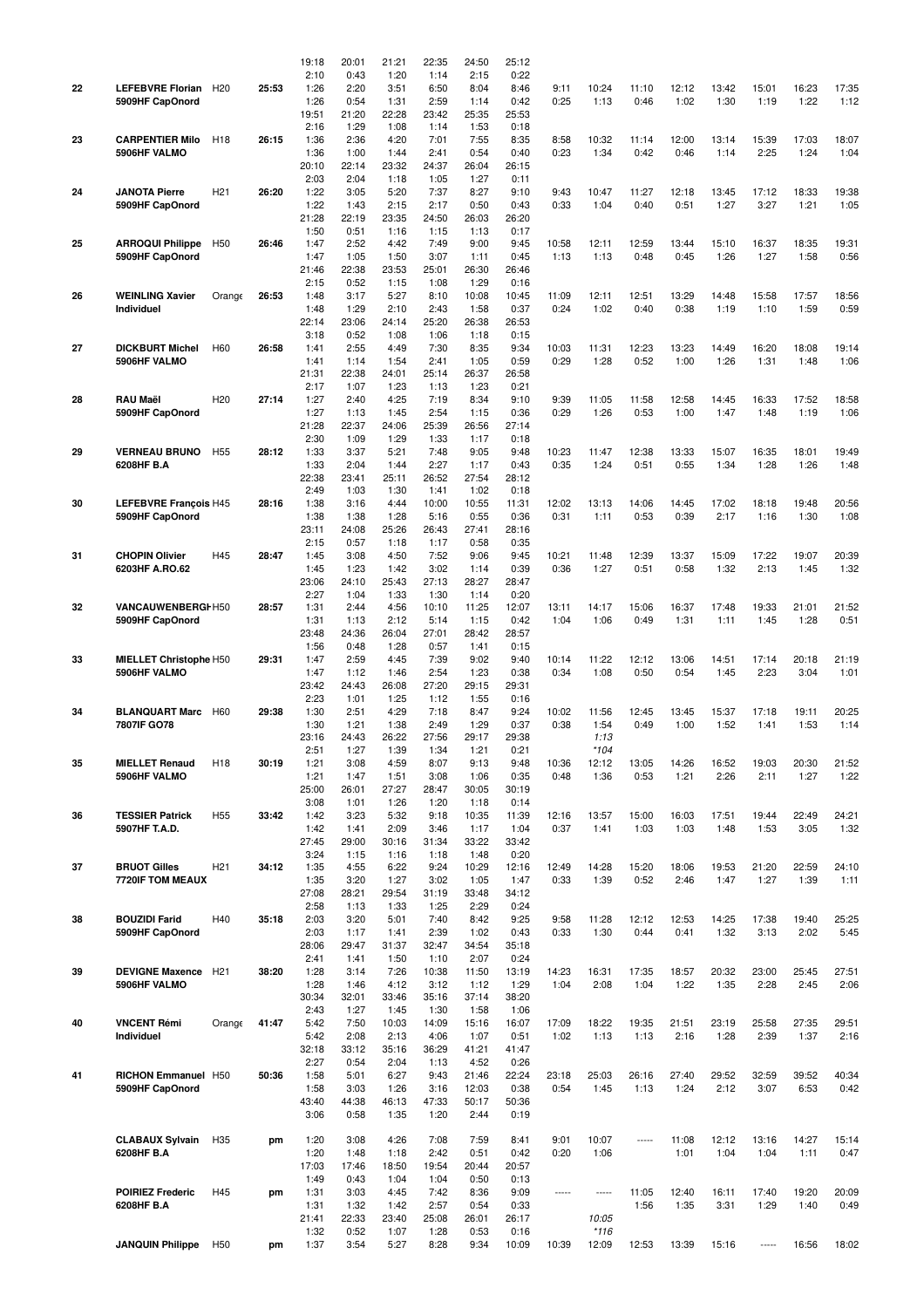|    |                              |                 |       | 19:18         | 20:01         | 21:21         | 22:35         | 24:50         | 25:12         |              |                     |       |               |               |       |               |               |
|----|------------------------------|-----------------|-------|---------------|---------------|---------------|---------------|---------------|---------------|--------------|---------------------|-------|---------------|---------------|-------|---------------|---------------|
| 22 |                              |                 |       | 2:10          | 0:43          | 1:20          | 1:14          | 2:15          | 0:22          |              |                     |       |               |               |       |               |               |
|    | <b>LEFEBVRE Florian</b>      | H <sub>20</sub> | 25:53 | 1:26          | 2:20          | 3:51          | 6:50          | 8:04          | 8:46          | 9:11<br>0:25 | 10:24               | 11:10 | 12:12<br>1:02 | 13:42<br>1:30 | 15:01 | 16:23<br>1:22 | 17:35<br>1:12 |
|    | 5909HF CapOnord              |                 |       | 1:26<br>19:51 | 0:54<br>21:20 | 1:31<br>22:28 | 2:59<br>23:42 | 1:14<br>25:35 | 0:42<br>25:53 |              | 1:13                | 0:46  |               |               | 1:19  |               |               |
|    |                              |                 |       | 2:16          | 1:29          | 1:08          | 1:14          | 1:53          | 0:18          |              |                     |       |               |               |       |               |               |
| 23 | <b>CARPENTIER Milo</b>       | H <sub>18</sub> | 26:15 | 1:36          | 2:36          | 4:20          | 7:01          | 7:55          | 8:35          | 8:58         | 10:32               | 11:14 | 12:00         | 13:14         | 15:39 | 17:03         | 18:07         |
|    | 5906HF VALMO                 |                 |       | 1:36          | 1:00          | 1:44          | 2:41          | 0:54          | 0:40          | 0:23         | 1:34                | 0:42  | 0:46          | 1:14          | 2:25  | 1:24          | 1:04          |
|    |                              |                 |       | 20:10         | 22:14         | 23:32         | 24:37         | 26:04         | 26:15         |              |                     |       |               |               |       |               |               |
|    |                              |                 |       | 2:03          | 2:04          | 1:18          | 1:05          | 1:27          | 0:11          |              |                     |       |               |               |       |               |               |
| 24 | <b>JANOTA Pierre</b>         | H <sub>21</sub> | 26:20 | 1:22          | 3:05          | 5:20          | 7:37          | 8:27          | 9:10          | 9:43         | 10:47               | 11:27 | 12:18         | 13:45         | 17:12 | 18:33         | 19:38         |
|    | 5909HF CapOnord              |                 |       | 1:22          | 1:43          | 2:15          | 2:17          | 0:50          | 0:43          | 0:33         | 1:04                | 0:40  | 0:51          | 1:27          | 3:27  | 1:21          | 1:05          |
|    |                              |                 |       | 21:28         | 22:19         | 23:35         | 24:50         | 26:03         | 26:20         |              |                     |       |               |               |       |               |               |
|    |                              |                 |       | 1:50          | 0:51          | 1:16          | 1:15          | 1:13          | 0:17          |              |                     |       |               |               |       |               |               |
| 25 | <b>ARROQUI Philippe</b>      | H <sub>50</sub> | 26:46 | 1:47          | 2:52          | 4:42          | 7:49          | 9:00          | 9:45          | 10:58        | 12:11               | 12:59 | 13:44         | 15:10         | 16:37 | 18:35         | 19:31         |
|    | 5909HF CapOnord              |                 |       | 1:47          | 1:05          | 1:50          | 3:07          | 1:11          | 0:45          | 1:13         | 1:13                | 0:48  | 0:45          | 1:26          | 1:27  | 1:58          | 0:56          |
|    |                              |                 |       | 21:46         | 22:38         | 23:53         | 25:01         | 26:30         | 26:46         |              |                     |       |               |               |       |               |               |
|    |                              |                 |       | 2:15          | 0:52          | 1:15          | 1:08          | 1:29          | 0:16          |              |                     |       |               |               |       |               |               |
| 26 | <b>WEINLING Xavier</b>       | Orange          | 26:53 | 1:48          | 3:17          | 5:27          | 8:10          | 10:08         | 10:45         | 11:09        | 12:11               | 12:51 | 13:29         | 14:48         | 15:58 | 17:57         | 18:56         |
|    | Individuel                   |                 |       | 1:48          | 1:29          | 2:10          | 2:43          | 1:58          | 0:37          | 0:24         | 1:02                | 0:40  | 0:38          | 1:19          | 1:10  | 1:59          | 0:59          |
|    |                              |                 |       | 22:14         | 23:06         | 24:14         | 25:20         | 26:38         | 26:53         |              |                     |       |               |               |       |               |               |
|    |                              |                 |       | 3:18          | 0:52          | 1:08          | 1:06          | 1:18          | 0:15          |              |                     |       |               |               |       |               |               |
| 27 | <b>DICKBURT Michel</b>       | H60             | 26:58 | 1:41          | 2:55          | 4:49          | 7:30          | 8:35          | 9:34          | 10:03        | 11:31               | 12:23 | 13:23         | 14:49         | 16:20 | 18:08         | 19:14         |
|    | 5906HF VALMO                 |                 |       | 1:41          | 1:14          | 1:54          | 2:41          | 1:05          | 0:59          | 0:29         | 1:28                | 0:52  | 1:00          | 1:26          | 1:31  | 1:48          | 1:06          |
|    |                              |                 |       | 21:31         | 22:38         | 24:01         | 25:14         | 26:37         | 26:58         |              |                     |       |               |               |       |               |               |
|    |                              |                 |       | 2:17          | 1:07          | 1:23          | 1:13          | 1:23          | 0:21          |              |                     |       |               |               |       |               |               |
| 28 | RAU Maël                     | H <sub>20</sub> | 27:14 | 1:27          | 2:40          | 4:25          | 7:19          | 8:34          | 9:10          | 9:39         | 11:05               | 11:58 | 12:58         | 14:45         | 16:33 | 17:52         | 18:58         |
|    | 5909HF CapOnord              |                 |       | 1:27          | 1:13          | 1:45          | 2:54          | 1:15          | 0:36          | 0:29         | 1:26                | 0:53  | 1:00          | 1:47          | 1:48  | 1:19          | 1:06          |
|    |                              |                 |       | 21:28         | 22:37         | 24:06         | 25:39         | 26:56         | 27:14         |              |                     |       |               |               |       |               |               |
|    |                              |                 |       | 2:30          | 1:09          | 1:29          | 1:33          | 1:17          | 0:18          |              |                     |       |               |               |       |               |               |
| 29 | <b>VERNEAU BRUNO</b>         | H <sub>55</sub> | 28:12 | 1:33          | 3:37          | 5:21          | 7:48          | 9:05          | 9:48          | 10:23        | 11:47               | 12:38 | 13:33         | 15:07         | 16:35 | 18:01         | 19:49         |
|    | 6208HF B.A                   |                 |       | 1:33          | 2:04          | 1:44          | 2:27          | 1:17          | 0:43          | 0:35         | 1:24                | 0:51  | 0:55          | 1:34          | 1:28  | 1:26          | 1:48          |
|    |                              |                 |       | 22:38<br>2:49 | 23:41         | 25:11         | 26:52         | 27:54         | 28:12         |              |                     |       |               |               |       |               |               |
| 30 | <b>LEFEBVRE François H45</b> |                 | 28:16 | 1:38          | 1:03<br>3:16  | 1:30<br>4:44  | 1:41<br>10:00 | 1:02<br>10:55 | 0:18<br>11:31 | 12:02        | 13:13               | 14:06 | 14:45         | 17:02         | 18:18 | 19:48         | 20:56         |
|    | 5909HF CapOnord              |                 |       | 1:38          | 1:38          | 1:28          | 5:16          | 0:55          | 0:36          | 0:31         | 1:11                | 0:53  | 0:39          | 2:17          | 1:16  | 1:30          | 1:08          |
|    |                              |                 |       | 23:11         | 24:08         | 25:26         | 26:43         | 27:41         | 28:16         |              |                     |       |               |               |       |               |               |
|    |                              |                 |       | 2:15          | 0:57          | 1:18          | 1:17          | 0:58          | 0:35          |              |                     |       |               |               |       |               |               |
| 31 | <b>CHOPIN Olivier</b>        | H45             | 28:47 | 1:45          | 3:08          | 4:50          | 7:52          | 9:06          | 9:45          | 10:21        | 11:48               | 12:39 | 13:37         | 15:09         | 17:22 | 19:07         | 20:39         |
|    | 6203HF A.RO.62               |                 |       | 1:45          | 1:23          | 1:42          | 3:02          | 1:14          | 0:39          | 0:36         | 1:27                | 0:51  | 0:58          | 1:32          | 2:13  | 1:45          | 1:32          |
|    |                              |                 |       | 23:06         | 24:10         | 25:43         | 27:13         | 28:27         | 28:47         |              |                     |       |               |               |       |               |               |
|    |                              |                 |       | 2:27          | 1:04          | 1:33          | 1:30          | 1:14          | 0:20          |              |                     |       |               |               |       |               |               |
| 32 | VANCAUWENBERGI-H50           |                 | 28:57 | 1:31          | 2:44          | 4:56          | 10:10         | 11:25         | 12:07         | 13:11        | 14:17               | 15:06 | 16:37         | 17:48         | 19:33 | 21:01         | 21:52         |
|    | 5909HF CapOnord              |                 |       | 1:31          | 1:13          | 2:12          | 5:14          | 1:15          | 0:42          | 1:04         | 1:06                | 0:49  | 1:31          | 1:11          | 1:45  | 1:28          | 0:51          |
|    |                              |                 |       | 23:48         | 24:36         | 26:04         | 27:01         | 28:42         | 28:57         |              |                     |       |               |               |       |               |               |
|    |                              |                 |       | 1:56          | 0:48          | 1:28          | 0:57          | 1:41          | 0:15          |              |                     |       |               |               |       |               |               |
| 33 | MIELLET Christophe H50       |                 | 29:31 | 1:47          | 2:59          | 4:45          | 7:39          | 9:02          | 9:40          | 10:14        | 11:22               | 12:12 | 13:06         | 14:51         | 17:14 | 20:18         | 21:19         |
|    | 5906HF VALMO                 |                 |       | 1:47          | 1:12          | 1:46          | 2:54          | 1:23          | 0:38          | 0:34         | 1:08                | 0:50  | 0:54          | 1:45          | 2:23  | 3:04          | 1:01          |
|    |                              |                 |       | 23:42         | 24:43         | 26:08         | 27:20         | 29:15         | 29:31         |              |                     |       |               |               |       |               |               |
|    |                              |                 |       | 2:23          | 1:01          | 1:25          | 1:12          | 1:55          | 0:16          |              |                     |       |               |               |       |               |               |
| 34 | <b>BLANQUART Marc</b>        | H60             | 29:38 | 1:30          | 2:51          | 4:29          | 7:18          | 8:47          | 9:24          | 10:02        | 11:56               | 12:45 | 13:45         | 15:37         | 17:18 | 19:11         | 20:25         |
|    | 7807IF GO78                  |                 |       | 1:30          | 1:21          | 1:38          | 2:49          | 1:29          | 0:37          | 0:38         | 1:54                | 0:49  | 1:00          | 1:52          | 1:41  | 1:53          | 1:14          |
|    |                              |                 |       | 23:16         | 24:43         | 26:22         | 27:56         | 29:17         | 29:38         |              | 1:13                |       |               |               |       |               |               |
|    |                              |                 |       | 2:51          | 1:27          | 1:39          | 1:34          | 1:21          | 0:21          |              | $*104$              |       |               |               |       |               |               |
| 35 | <b>MIELLET Renaud</b>        | H <sub>18</sub> | 30:19 | 1:21          | 3:08          | 4:59          | 8:07          | 9:13          | 9:48          | 10:36        |                     | 13:05 |               |               |       | 20:30         | 21:52         |
|    | 5906HF VALMO                 |                 |       | 1:21          |               |               |               |               |               |              | 12:12               |       | 14:26         | 16:52         | 19:03 |               |               |
|    |                              |                 |       |               | 1:47          | 1:51          | 3:08          | 1:06          | 0:35          | 0:48         | 1:36                | 0:53  | 1:21          | 2:26          | 2:11  | 1:27          | 1:22          |
|    |                              |                 |       | 25:00         | 26:01         | 27:27         | 28:47         | 30:05         | 30:19         |              |                     |       |               |               |       |               |               |
| 36 |                              |                 |       | 3:08          | 1:01          | 1:26          | 1:20          | 1:18          | 0:14          |              |                     |       |               |               |       |               |               |
|    | <b>TESSIER Patrick</b>       | H <sub>55</sub> | 33:42 | 1:42          | 3:23          | 5:32          | 9:18          | 10:35         | 11:39         | 12:16        | 13:57               | 15:00 | 16:03         | 17:51         | 19:44 | 22:49         | 24:21         |
|    | 5907HF T.A.D.                |                 |       | 1:42          | 1:41          | 2:09          | 3:46          | 1:17          | 1:04          | 0:37         | 1:41                | 1:03  | 1:03          | 1:48          | 1:53  | 3:05          | 1:32          |
|    |                              |                 |       | 27:45         | 29:00         | 30:16         | 31:34         | 33:22         | 33:42         |              |                     |       |               |               |       |               |               |
|    |                              |                 |       | 3:24          | 1:15          | 1:16          | 1:18          | 1:48          | 0:20          |              |                     |       |               |               |       |               |               |
| 37 | <b>BRUOT Gilles</b>          | H <sub>21</sub> | 34:12 | 1:35          | 4:55          | 6:22          | 9:24          | 10:29         | 12:16         | 12:49        | 14:28               | 15:20 | 18:06         | 19:53         | 21:20 | 22:59         | 24:10         |
|    | 7720IF TOM MEAUX             |                 |       | 1:35          | 3:20          | 1:27          | 3:02          | 1:05          | 1:47          | 0:33         | 1:39                | 0:52  | 2:46          | 1:47          | 1:27  | 1:39          | 1:11          |
|    |                              |                 |       | 27:08         | 28:21         | 29:54<br>1:33 | 31:19<br>1:25 | 33:48<br>2:29 | 34:12<br>0:24 |              |                     |       |               |               |       |               |               |
| 38 | <b>BOUZIDI Farid</b>         | H40             | 35:18 | 2:58<br>2:03  | 1:13<br>3:20  | 5:01          | 7:40          | 8:42          | 9:25          | 9:58         | 11:28               | 12:12 | 12:53         | 14:25         | 17:38 | 19:40         | 25:25         |
|    | 5909HF CapOnord              |                 |       | 2:03          | 1:17          | 1:41          | 2:39          | 1:02          | 0:43          | 0:33         | 1:30                | 0:44  | 0:41          | 1:32          | 3:13  | 2:02          | 5:45          |
|    |                              |                 |       | 28:06         | 29:47         | 31:37         | 32:47         | 34:54         |               |              |                     |       |               |               |       |               |               |
|    |                              |                 |       | 2:41          | 1:41          | 1:50          | 1:10          | 2:07          | 35:18<br>0:24 |              |                     |       |               |               |       |               |               |
| 39 | <b>DEVIGNE Maxence</b>       | H <sub>21</sub> | 38:20 | 1:28          | 3:14          | 7:26          | 10:38         | 11:50         | 13:19         | 14:23        | 16:31               | 17:35 | 18:57         | 20:32         | 23:00 | 25:45         | 27:51         |
|    | 5906HF VALMO                 |                 |       | 1:28          | 1:46          | 4:12          | 3:12          | 1:12          | 1:29          | 1:04         | 2:08                | 1:04  | 1:22          | 1:35          | 2:28  | 2:45          | 2:06          |
|    |                              |                 |       | 30:34         | 32:01         | 33:46         | 35:16         | 37:14         | 38:20         |              |                     |       |               |               |       |               |               |
|    |                              |                 |       | 2:43          | 1:27          | 1:45          | 1:30          | 1:58          | 1:06          |              |                     |       |               |               |       |               |               |
| 40 | <b>VNCENT Rémi</b>           | Orange          | 41:47 | 5:42          | 7:50          | 10:03         | 14:09         | 15:16         | 16:07         | 17:09        | 18:22               | 19:35 | 21:51         | 23:19         | 25:58 | 27:35         | 29:51         |
|    | Individuel                   |                 |       | 5:42          | 2:08          | 2:13          | 4:06          | 1:07          | 0:51          | 1:02         | 1:13                | 1:13  | 2:16          | 1:28          | 2:39  | 1:37          | 2:16          |
|    |                              |                 |       | 32:18         | 33:12         | 35:16         | 36:29         | 41:21         | 41:47         |              |                     |       |               |               |       |               |               |
|    |                              |                 |       | 2:27          | 0:54          | 2:04          | 1:13          | 4:52          | 0:26          |              |                     |       |               |               |       |               |               |
| 41 | RICHON Emmanuel H50          |                 | 50:36 | 1:58          | 5:01          | 6:27          | 9:43          | 21:46         | 22:24         | 23:18        | 25:03               | 26:16 | 27:40         | 29:52         | 32:59 | 39:52         | 40:34         |
|    | 5909HF CapOnord              |                 |       | 1:58          | 3:03          | 1:26          | 3:16          | 12:03         | 0:38          | 0:54         | 1:45                | 1:13  | 1:24          | 2:12          | 3:07  | 6:53          | 0:42          |
|    |                              |                 |       | 43:40         | 44:38         | 46:13         | 47:33         | 50:17         | 50:36         |              |                     |       |               |               |       |               |               |
|    |                              |                 |       | 3:06          | 0:58          | 1:35          | 1:20          | 2:44          | 0:19          |              |                     |       |               |               |       |               |               |
|    |                              |                 |       |               |               |               |               |               |               |              |                     | $---$ |               |               |       |               |               |
|    | <b>CLABAUX Sylvain</b>       | H <sub>35</sub> | pm    | 1:20          | 3:08          | 4:26          | 7:08          | 7:59          | 8:41          | 9:01         | 10:07               |       | 11:08         | 12:12         | 13:16 | 14:27         | 15:14         |
|    | 6208HF B.A                   |                 |       | 1:20          | 1:48          | 1:18          | 2:42          | 0:51          | 0:42          | 0:20         | 1:06                |       | 1:01          | 1:04          | 1:04  | 1:11          | 0:47          |
|    |                              |                 |       | 17:03         | 17:46         | 18:50         | 19:54         | 20:44         | 20:57         |              |                     |       |               |               |       |               |               |
|    | <b>POIRIEZ Frederic</b>      | H45             | pm    | 1:49<br>1:31  | 0:43<br>3:03  | 1:04<br>4:45  | 1:04<br>7:42  | 0:50<br>8:36  | 0:13<br>9:09  | -----        | $1 - 1 - 1 - 1 = 1$ | 11:05 | 12:40         | 16:11         | 17:40 | 19:20         | 20:09         |
|    | 6208HF B.A                   |                 |       | 1:31          | 1:32          | 1:42          | 2:57          | 0:54          | 0:33          |              |                     | 1:56  | 1:35          | 3:31          | 1:29  | 1:40          | 0:49          |
|    |                              |                 |       | 21:41         | 22:33         | 23:40         | 25:08         | 26:01         | 26:17         |              | 10:05               |       |               |               |       |               |               |
|    |                              |                 |       | 1:32          | 0:52          | 1:07          | 1:28          | 0:53          | 0:16          |              | $*116$              |       |               |               |       |               |               |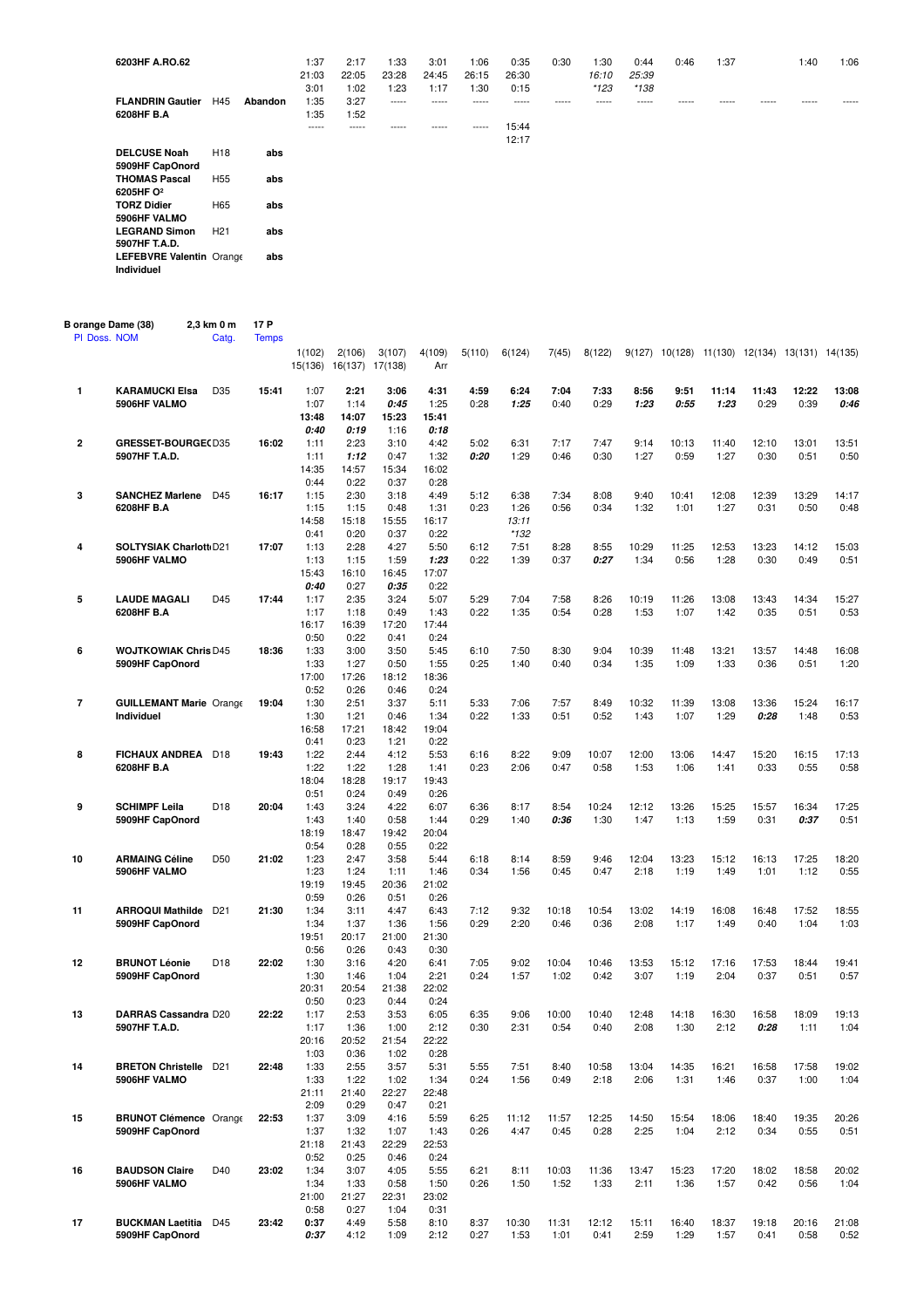| 6203HF A.RO.62                                |                 |         | 1:37<br>21:03<br>3:01 | 2:17<br>22:05<br>1:02 | 1:33<br>23:28<br>1:23 | 3:01<br>24:45<br>1:17 | 1:06<br>26:15<br>1:30 | 0:35<br>26:30<br>0:15 | 0:30  | 1:30<br>16:10<br>$*123$ | 0:44<br>25:39<br>$*138$ | 0:46  | 1:37  |       | 1:40  | 1:06 |
|-----------------------------------------------|-----------------|---------|-----------------------|-----------------------|-----------------------|-----------------------|-----------------------|-----------------------|-------|-------------------------|-------------------------|-------|-------|-------|-------|------|
| <b>FLANDRIN Gautier</b><br>6208HF B.A         | H45             | Abandon | 1:35<br>1:35          | 3:27<br>1:52          | $- - - - -$           | -----                 | -----                 | -----                 | ----- | -----                   | -----                   | ----- | ----- | ----- | ----- | ---- |
|                                               |                 |         | $- - - - -$           | -----                 | -----                 | -----                 | -----                 | 15:44<br>12:17        |       |                         |                         |       |       |       |       |      |
| <b>DELCUSE Noah</b><br>5909HF CapOnord        | H <sub>18</sub> | abs     |                       |                       |                       |                       |                       |                       |       |                         |                         |       |       |       |       |      |
| <b>THOMAS Pascal</b><br>6205HF O <sup>2</sup> | H <sub>55</sub> | abs     |                       |                       |                       |                       |                       |                       |       |                         |                         |       |       |       |       |      |
| <b>TORZ Didier</b><br>5906HF VALMO            | H65             | abs     |                       |                       |                       |                       |                       |                       |       |                         |                         |       |       |       |       |      |
| <b>LEGRAND Simon</b><br>5907HF T.A.D.         | H <sub>21</sub> | abs     |                       |                       |                       |                       |                       |                       |       |                         |                         |       |       |       |       |      |
| LEFEBVRE Valentin Orange<br><b>Individuel</b> |                 | abs     |                       |                       |                       |                       |                       |                       |       |                         |                         |       |       |       |       |      |

| B orange Dame (38)<br>PI Doss. NOM |                                       | 2,3 km 0 m<br>Catg. | 17 P<br><b>Temps</b> |                   |                           |               |               |              |               |               |               |               |               |               |               |                                                |               |
|------------------------------------|---------------------------------------|---------------------|----------------------|-------------------|---------------------------|---------------|---------------|--------------|---------------|---------------|---------------|---------------|---------------|---------------|---------------|------------------------------------------------|---------------|
|                                    |                                       |                     |                      | 1(102)<br>15(136) | 2(106)<br>16(137) 17(138) | 3(107)        | 4(109)<br>Arr | 5(110)       | 6(124)        | 7(45)         | 8(122)        |               |               |               |               | 9(127) 10(128) 11(130) 12(134) 13(131) 14(135) |               |
| 1                                  | <b>KARAMUCKI Elsa</b><br>5906HF VALMO | D35                 | 15:41                | 1:07<br>1:07      | 2:21<br>1:14              | 3:06<br>0:45  | 4:31<br>1:25  | 4:59<br>0:28 | 6:24<br>1:25  | 7:04<br>0:40  | 7:33<br>0:29  | 8:56<br>1:23  | 9:51<br>0:55  | 11:14<br>1:23 | 11:43<br>0:29 | 12:22<br>0:39                                  | 13:08<br>0:46 |
|                                    |                                       |                     |                      | 13:48<br>0:40     | 14:07<br>0:19             | 15:23<br>1:16 | 15:41<br>0:18 |              |               |               |               |               |               |               |               |                                                |               |
| 2                                  | <b>GRESSET-BOURGE(D35</b>             |                     | 16:02                | 1:11              | 2:23                      | 3:10          | 4:42          | 5:02         | 6:31          | 7:17          | 7:47          | 9:14          | 10:13         | 11:40         | 12:10         | 13:01                                          | 13:51         |
|                                    | 5907HF T.A.D.                         |                     |                      | 1:11              | 1:12                      | 0:47          | 1:32          | 0:20         | 1:29          | 0:46          | 0:30          | 1:27          | 0:59          | 1:27          | 0:30          | 0:51                                           | 0:50          |
|                                    |                                       |                     |                      | 14:35             | 14:57                     | 15:34         | 16:02         |              |               |               |               |               |               |               |               |                                                |               |
|                                    |                                       |                     |                      | 0:44              | 0:22                      | 0:37          | 0:28          |              |               |               |               |               |               |               |               |                                                |               |
| 3                                  | <b>SANCHEZ Marlene</b>                | D45                 | 16:17                | 1:15              | 2:30                      | 3:18          | 4:49          | 5:12         | 6:38          | 7:34          | 8:08          | 9:40          | 10:41         | 12:08         | 12:39         | 13:29                                          | 14:17         |
|                                    | 6208HF B.A                            |                     |                      | 1:15<br>14:58     | 1:15<br>15:18             | 0:48<br>15:55 | 1:31<br>16:17 | 0:23         | 1:26<br>13:11 | 0:56          | 0:34          | 1:32          | 1:01          | 1:27          | 0:31          | 0:50                                           | 0:48          |
|                                    |                                       |                     |                      | 0:41              | 0:20                      | 0:37          | 0:22          |              | $*132$        |               |               |               |               |               |               |                                                |               |
| 4                                  | SOLTYSIAK Charlott D21                |                     | 17:07                | 1:13              | 2:28                      | 4:27          | 5:50          | 6:12         | 7:51          | 8:28          | 8:55          | 10:29         | 11:25         | 12:53         | 13:23         | 14:12                                          | 15:03         |
|                                    | 5906HF VALMO                          |                     |                      | 1:13              | 1:15                      | 1:59          | 1:23          | 0:22         | 1:39          | 0:37          | 0:27          | 1:34          | 0:56          | 1:28          | 0:30          | 0:49                                           | 0:51          |
|                                    |                                       |                     |                      | 15:43             | 16:10                     | 16:45         | 17:07         |              |               |               |               |               |               |               |               |                                                |               |
|                                    |                                       |                     |                      | 0:40              | 0:27                      | 0:35          | 0:22          |              |               |               |               |               |               |               |               |                                                |               |
| 5                                  | <b>LAUDE MAGALI</b>                   | D45                 | 17:44                | 1:17              | 2:35                      | 3:24          | 5:07          | 5:29         | 7:04          | 7:58          | 8:26          | 10:19         | 11:26         | 13:08         | 13:43         | 14:34                                          | 15:27         |
|                                    | 6208HF B.A                            |                     |                      | 1:17<br>16:17     | 1:18<br>16:39             | 0:49<br>17:20 | 1:43<br>17:44 | 0:22         | 1:35          | 0:54          | 0:28          | 1:53          | 1:07          | 1:42          | 0:35          | 0:51                                           | 0:53          |
|                                    |                                       |                     |                      | 0:50              | 0:22                      | 0:41          | 0:24          |              |               |               |               |               |               |               |               |                                                |               |
| 6                                  | <b>WOJTKOWIAK Chris D45</b>           |                     | 18:36                | 1:33              | 3:00                      | 3:50          | 5:45          | 6:10         | 7:50          | 8:30          | 9:04          | 10:39         | 11:48         | 13:21         | 13:57         | 14:48                                          | 16:08         |
|                                    | 5909HF CapOnord                       |                     |                      | 1:33              | 1:27                      | 0:50          | 1:55          | 0:25         | 1:40          | 0:40          | 0:34          | 1:35          | 1:09          | 1:33          | 0:36          | 0:51                                           | 1:20          |
|                                    |                                       |                     |                      | 17:00             | 17:26                     | 18:12         | 18:36         |              |               |               |               |               |               |               |               |                                                |               |
|                                    |                                       |                     |                      | 0:52              | 0:26                      | 0:46          | 0:24          |              |               |               |               |               |               |               |               |                                                |               |
| 7                                  | <b>GUILLEMANT Marie Orange</b>        |                     | 19:04                | 1:30              | 2:51                      | 3:37          | 5:11          | 5:33         | 7:06          | 7:57          | 8:49          | 10:32         | 11:39         | 13:08         | 13:36         | 15:24                                          | 16:17         |
|                                    | Individuel                            |                     |                      | 1:30              | 1:21                      | 0:46          | 1:34          | 0:22         | 1:33          | 0:51          | 0:52          | 1:43          | 1:07          | 1:29          | 0:28          | 1:48                                           | 0:53          |
|                                    |                                       |                     |                      | 16:58             | 17:21                     | 18:42         | 19:04         |              |               |               |               |               |               |               |               |                                                |               |
| 8                                  | <b>FICHAUX ANDREA</b>                 | D <sub>18</sub>     | 19:43                | 0:41<br>1:22      | 0:23<br>2:44              | 1:21<br>4:12  | 0:22<br>5:53  | 6:16         | 8:22          | 9:09          | 10:07         | 12:00         | 13:06         | 14:47         | 15:20         | 16:15                                          | 17:13         |
|                                    |                                       |                     |                      | 1:22              | 1:22                      | 1:28          | 1:41          | 0:23         | 2:06          | 0:47          | 0:58          | 1:53          | 1:06          | 1:41          | 0:33          | 0:55                                           | 0:58          |
|                                    | 6208HF B.A                            |                     |                      | 18:04             | 18:28                     | 19:17         | 19:43         |              |               |               |               |               |               |               |               |                                                |               |
|                                    |                                       |                     |                      | 0:51              | 0:24                      | 0:49          | 0:26          |              |               |               |               |               |               |               |               |                                                |               |
| 9                                  | <b>SCHIMPF Leila</b>                  | D <sub>18</sub>     | 20:04                | 1:43              | 3:24                      | 4:22          | 6:07          | 6:36         | 8:17          | 8:54          | 10:24         | 12:12         | 13:26         | 15:25         | 15:57         | 16:34                                          | 17:25         |
|                                    | 5909HF CapOnord                       |                     |                      | 1:43              | 1:40                      | 0:58          | 1:44          | 0:29         | 1:40          | 0:36          | 1:30          | 1:47          | 1:13          | 1:59          | 0:31          | 0:37                                           | 0:51          |
|                                    |                                       |                     |                      | 18:19             | 18:47                     | 19:42         | 20:04         |              |               |               |               |               |               |               |               |                                                |               |
|                                    |                                       |                     |                      | 0:54              | 0:28                      | 0:55          | 0:22          |              |               |               |               |               |               |               |               |                                                |               |
| 10                                 | <b>ARMAING Céline</b><br>5906HF VALMO | D <sub>50</sub>     | 21:02                | 1:23<br>1:23      | 2:47<br>1:24              | 3:58<br>1:11  | 5:44<br>1:46  | 6:18<br>0:34 | 8:14<br>1:56  | 8:59<br>0:45  | 9:46<br>0:47  | 12:04<br>2:18 | 13:23<br>1:19 | 15:12<br>1:49 | 16:13<br>1:01 | 17:25<br>1:12                                  | 18:20<br>0:55 |
|                                    |                                       |                     |                      | 19:19             | 19:45                     | 20:36         | 21:02         |              |               |               |               |               |               |               |               |                                                |               |
|                                    |                                       |                     |                      | 0:59              | 0:26                      | 0:51          | 0:26          |              |               |               |               |               |               |               |               |                                                |               |
| 11                                 | <b>ARROQUI Mathilde</b>               | D <sub>21</sub>     | 21:30                | 1:34              | 3:11                      | 4:47          | 6:43          | 7:12         | 9:32          | 10:18         | 10:54         | 13:02         | 14:19         | 16:08         | 16:48         | 17:52                                          | 18:55         |
|                                    | 5909HF CapOnord                       |                     |                      | 1:34              | 1:37                      | 1:36          | 1:56          | 0:29         | 2:20          | 0:46          | 0:36          | 2:08          | 1:17          | 1:49          | 0:40          | 1:04                                           | 1:03          |
|                                    |                                       |                     |                      | 19:51             | 20:17                     | 21:00         | 21:30         |              |               |               |               |               |               |               |               |                                                |               |
|                                    |                                       |                     |                      | 0:56              | 0:26                      | 0:43          | 0:30          |              |               |               |               |               |               |               |               |                                                |               |
| 12                                 | <b>BRUNOT Léonie</b>                  | D <sub>18</sub>     | 22:02                | 1:30              | 3:16                      | 4:20          | 6:41          | 7:05         | 9:02          | 10:04<br>1:02 | 10:46<br>0:42 | 13:53<br>3:07 | 15:12<br>1:19 | 17:16         | 17:53         | 18:44                                          | 19:41         |
|                                    | 5909HF CapOnord                       |                     |                      | 1:30<br>20:31     | 1:46<br>20:54             | 1:04<br>21:38 | 2:21<br>22:02 | 0:24         | 1:57          |               |               |               |               | 2:04          | 0:37          | 0:51                                           | 0:57          |
|                                    |                                       |                     |                      | 0:50              | 0:23                      | 0:44          | 0:24          |              |               |               |               |               |               |               |               |                                                |               |
| 13                                 | DARRAS Cassandra D20                  |                     | 22:22                | 1:17              | 2:53                      | 3:53          | 6:05          | 6:35         | 9:06          | 10:00         | 10:40         | 12:48         | 14:18         | 16:30         | 16:58         | 18:09                                          | 19:13         |
|                                    | 5907HF T.A.D.                         |                     |                      | 1:17              | 1:36                      | 1:00          | 2:12          | 0:30         | 2:31          | 0:54          | 0:40          | 2:08          | 1:30          | 2:12          | 0:28          | 1:11                                           | 1:04          |
|                                    |                                       |                     |                      | 20:16             | 20:52                     | 21:54         | 22:22         |              |               |               |               |               |               |               |               |                                                |               |
|                                    |                                       |                     |                      | 1:03              | 0:36                      | 1:02          | 0:28          |              |               |               |               |               |               |               |               |                                                |               |
| 14                                 | <b>BRETON Christelle</b> D21          |                     | 22:48                | 1:33              | 2:55                      | 3:57          | 5:31          | 5:55         | 7:51          | 8:40          | 10:58         | 13:04         | 14:35         | 16:21         | 16:58         | 17:58                                          | 19:02         |
|                                    | 5906HF VALMO                          |                     |                      | 1:33              | 1:22                      | 1:02          | 1:34          | 0:24         | 1:56          | 0:49          | 2:18          | 2:06          | 1:31          | 1:46          | 0:37          | 1:00                                           | 1:04          |
|                                    |                                       |                     |                      | 21:11<br>2:09     | 21:40<br>0:29             | 22:27<br>0:47 | 22:48<br>0:21 |              |               |               |               |               |               |               |               |                                                |               |
| 15                                 | <b>BRUNOT Clémence Orange</b>         |                     | 22:53                | 1:37              | 3:09                      | 4:16          | 5:59          | 6:25         | 11:12         | 11:57         | 12:25         | 14:50         | 15:54         | 18:06         | 18:40         | 19:35                                          | 20:26         |
|                                    | 5909HF CapOnord                       |                     |                      | 1:37              | 1:32                      | 1:07          | 1:43          | 0:26         | 4:47          | 0:45          | 0:28          | 2:25          | 1:04          | 2:12          | 0:34          | 0:55                                           | 0:51          |
|                                    |                                       |                     |                      | 21:18             | 21:43                     | 22:29         | 22:53         |              |               |               |               |               |               |               |               |                                                |               |
|                                    |                                       |                     |                      | 0:52              | 0:25                      | 0:46          | 0:24          |              |               |               |               |               |               |               |               |                                                |               |
| 16                                 | <b>BAUDSON Claire</b>                 | D40                 | 23:02                | 1:34              | 3:07                      | 4:05          | 5:55          | 6:21         | 8:11          | 10:03         | 11:36         | 13:47         | 15:23         | 17:20         | 18:02         | 18:58                                          | 20:02         |
|                                    | 5906HF VALMO                          |                     |                      | 1:34              | 1:33                      | 0:58          | 1:50          | 0:26         | 1:50          | 1:52          | 1:33          | 2:11          | 1:36          | 1:57          | 0:42          | 0:56                                           | 1:04          |
|                                    |                                       |                     |                      | 21:00             | 21:27                     | 22:31         | 23:02         |              |               |               |               |               |               |               |               |                                                |               |
| 17                                 | <b>BUCKMAN Laetitia</b>               | D45                 | 23:42                | 0:58<br>0:37      | 0:27<br>4:49              | 1:04<br>5:58  | 0:31<br>8:10  | 8:37         | 10:30         | 11:31         | 12:12         | 15:11         | 16:40         | 18:37         | 19:18         | 20:16                                          | 21:08         |
|                                    | 5909HF CapOnord                       |                     |                      | 0:37              | 4:12                      | 1:09          | 2:12          | 0:27         | 1:53          | 1:01          | 0:41          | 2:59          | 1:29          | 1:57          | 0:41          | 0:58                                           | 0:52          |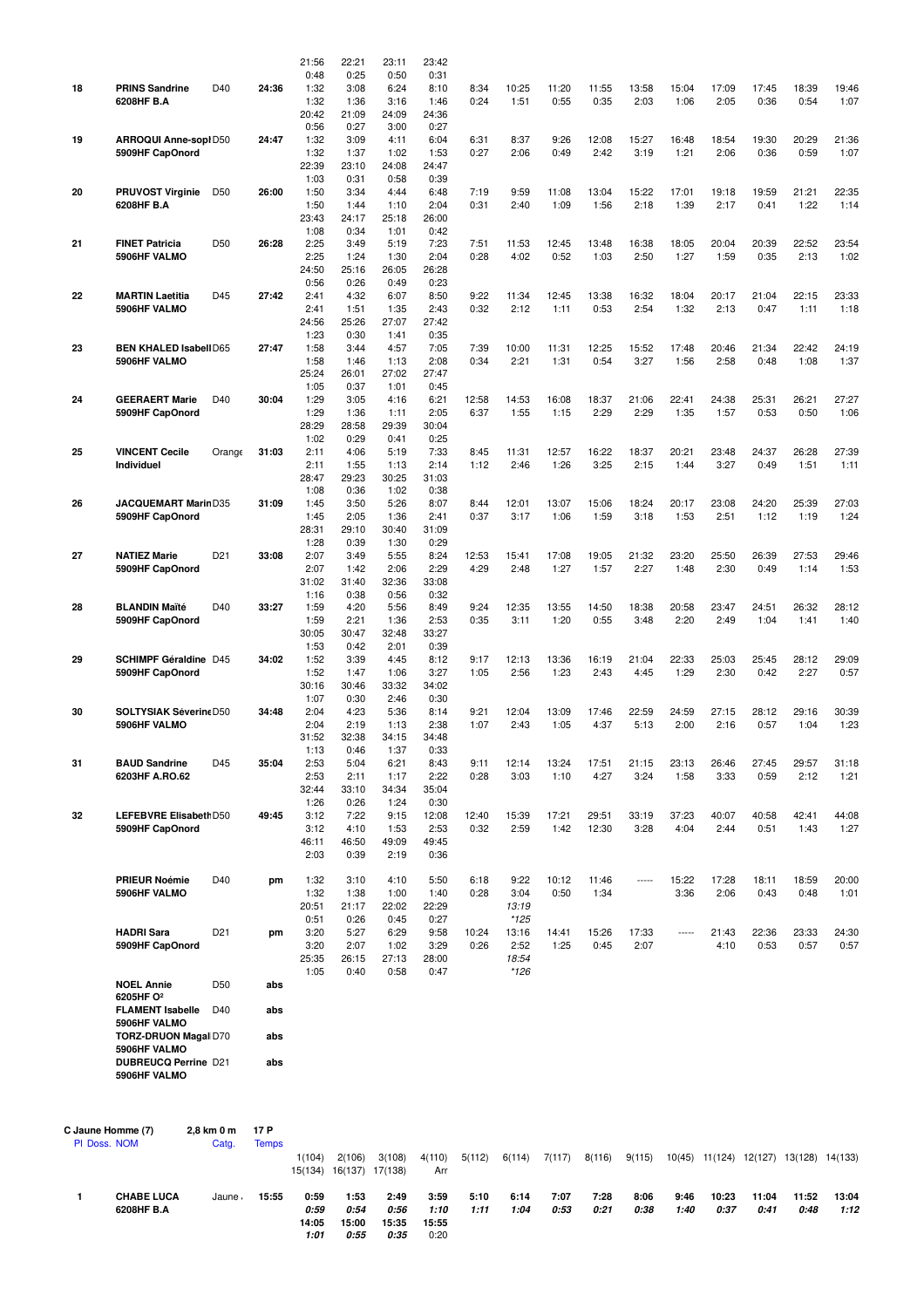|                                   |                                                                                            |                     |                      | 21:56<br>0:48                          | 22:21<br>0:25                          | 23:11<br>0:50                          | 23:42<br>0:31                          |               |                                  |               |                |               |               |                                               |               |               |               |
|-----------------------------------|--------------------------------------------------------------------------------------------|---------------------|----------------------|----------------------------------------|----------------------------------------|----------------------------------------|----------------------------------------|---------------|----------------------------------|---------------|----------------|---------------|---------------|-----------------------------------------------|---------------|---------------|---------------|
| 18                                | <b>PRINS Sandrine</b><br>6208HF B.A                                                        | D40                 | 24:36                | 1:32<br>1:32<br>20:42                  | 3:08<br>1:36<br>21:09                  | 6:24<br>3:16<br>24:09                  | 8:10<br>1:46<br>24:36                  | 8:34<br>0:24  | 10:25<br>1:51                    | 11:20<br>0:55 | 11:55<br>0:35  | 13:58<br>2:03 | 15:04<br>1:06 | 17:09<br>2:05                                 | 17:45<br>0:36 | 18:39<br>0:54 | 19:46<br>1:07 |
| 19                                | ARROQUI Anne-sopi D50<br>5909HF CapOnord                                                   |                     | 24:47                | 0:56<br>1:32<br>1:32                   | 0:27<br>3:09<br>1:37                   | 3:00<br>4:11<br>1:02                   | 0:27<br>6:04<br>1:53                   | 6:31<br>0:27  | 8:37<br>2:06                     | 9:26<br>0:49  | 12:08<br>2:42  | 15:27<br>3:19 | 16:48<br>1:21 | 18:54<br>2:06                                 | 19:30<br>0:36 | 20:29<br>0:59 | 21:36<br>1:07 |
| 20                                | <b>PRUVOST Virginie</b>                                                                    | D <sub>50</sub>     | 26:00                | 22:39<br>1:03<br>1:50                  | 23:10<br>0:31<br>3:34                  | 24:08<br>0:58<br>4:44                  | 24:47<br>0:39<br>6:48                  | 7:19          | 9:59                             | 11:08         | 13:04          | 15:22         | 17:01         | 19:18                                         | 19:59         | 21:21         | 22:35         |
|                                   | 6208HF B.A                                                                                 |                     |                      | 1:50<br>23:43<br>1:08                  | 1:44<br>24:17<br>0:34                  | 1:10<br>25:18<br>1:01                  | 2:04<br>26:00<br>0:42                  | 0:31          | 2:40                             | 1:09          | 1:56           | 2:18          | 1:39          | 2:17                                          | 0:41          | 1:22          | 1:14          |
| 21                                | <b>FINET Patricia</b><br>5906HF VALMO                                                      | D50                 | 26:28                | 2:25<br>2:25<br>24:50<br>0:56          | 3:49<br>1:24<br>25:16<br>0:26          | 5:19<br>1:30<br>26:05<br>0:49          | 7:23<br>2:04<br>26:28<br>0:23          | 7:51<br>0:28  | 11:53<br>4:02                    | 12:45<br>0:52 | 13:48<br>1:03  | 16:38<br>2:50 | 18:05<br>1:27 | 20:04<br>1:59                                 | 20:39<br>0:35 | 22:52<br>2:13 | 23:54<br>1:02 |
| 22                                | <b>MARTIN Laetitia</b><br>5906HF VALMO                                                     | D45                 | 27:42                | 2:41<br>2:41<br>24:56                  | 4:32<br>1:51<br>25:26                  | 6:07<br>1:35<br>27:07                  | 8:50<br>2:43<br>27:42                  | 9:22<br>0:32  | 11:34<br>2:12                    | 12:45<br>1:11 | 13:38<br>0:53  | 16:32<br>2:54 | 18:04<br>1:32 | 20:17<br>2:13                                 | 21:04<br>0:47 | 22:15<br>1:11 | 23:33<br>1:18 |
| 23                                | <b>BEN KHALED Isabell D65</b><br>5906HF VALMO                                              |                     | 27:47                | 1:23<br>1:58<br>1:58                   | 0:30<br>3:44<br>1:46                   | 1:41<br>4:57<br>1:13                   | 0:35<br>7:05<br>2:08                   | 7:39<br>0:34  | 10:00<br>2:21                    | 11:31<br>1:31 | 12:25<br>0:54  | 15:52<br>3:27 | 17:48<br>1:56 | 20:46<br>2:58                                 | 21:34<br>0:48 | 22:42<br>1:08 | 24:19<br>1:37 |
| 24                                | <b>GEERAERT Marie</b><br>5909HF CapOnord                                                   | D40                 | 30:04                | 25:24<br>1:05<br>1:29<br>1:29          | 26:01<br>0:37<br>3:05<br>1:36          | 27:02<br>1:01<br>4:16<br>1:11          | 27:47<br>0:45<br>6:21<br>2:05          | 12:58<br>6:37 | 14:53<br>1:55                    | 16:08<br>1:15 | 18:37<br>2:29  | 21:06<br>2:29 | 22:41<br>1:35 | 24:38<br>1:57                                 | 25:31<br>0:53 | 26:21<br>0:50 | 27:27<br>1:06 |
| 25                                | <b>VINCENT Cecile</b><br>Individuel                                                        | Orange              | 31:03                | 28:29<br>1:02<br>2:11<br>2:11          | 28:58<br>0:29<br>4:06<br>1:55          | 29:39<br>0:41<br>5:19<br>1:13          | 30:04<br>0:25<br>7:33<br>2:14          | 8:45<br>1:12  | 11:31<br>2:46                    | 12:57<br>1:26 | 16:22<br>3:25  | 18:37<br>2:15 | 20:21<br>1:44 | 23:48<br>3:27                                 | 24:37<br>0:49 | 26:28<br>1:51 | 27:39<br>1:11 |
| 26                                | JACQUEMART MarinD35<br>5909HF CapOnord                                                     |                     | 31:09                | 28:47<br>1:08<br>1:45<br>1:45          | 29:23<br>0:36<br>3:50<br>2:05          | 30:25<br>1:02<br>5:26<br>1:36          | 31:03<br>0:38<br>8:07<br>2:41          | 8:44<br>0:37  | 12:01<br>3:17                    | 13:07<br>1:06 | 15:06<br>1:59  | 18:24<br>3:18 | 20:17<br>1:53 | 23:08<br>2:51                                 | 24:20<br>1:12 | 25:39<br>1:19 | 27:03<br>1:24 |
| 27                                | <b>NATIEZ Marie</b><br>5909HF CapOnord                                                     | D <sub>21</sub>     | 33:08                | 28:31<br>1:28<br>2:07<br>2:07<br>31:02 | 29:10<br>0:39<br>3:49<br>1:42<br>31:40 | 30:40<br>1:30<br>5:55<br>2:06<br>32:36 | 31:09<br>0:29<br>8:24<br>2:29<br>33:08 | 12:53<br>4:29 | 15:41<br>2:48                    | 17:08<br>1:27 | 19:05<br>1:57  | 21:32<br>2:27 | 23:20<br>1:48 | 25:50<br>2:30                                 | 26:39<br>0:49 | 27:53<br>1:14 | 29:46<br>1:53 |
| 28                                | <b>BLANDIN Maïté</b><br>5909HF CapOnord                                                    | D40                 | 33:27                | 1:16<br>1:59<br>1:59<br>30:05          | 0:38<br>4:20<br>2:21<br>30:47          | 0:56<br>5:56<br>1:36<br>32:48          | 0:32<br>8:49<br>2:53<br>33:27          | 9:24<br>0:35  | 12:35<br>3:11                    | 13:55<br>1:20 | 14:50<br>0:55  | 18:38<br>3:48 | 20:58<br>2:20 | 23:47<br>2:49                                 | 24:51<br>1:04 | 26:32<br>1:41 | 28:12<br>1:40 |
| 29                                | <b>SCHIMPF Géraldine D45</b><br>5909HF CapOnord                                            |                     | 34:02                | 1:53<br>1:52<br>1:52<br>30:16          | 0:42<br>3:39<br>1:47<br>30:46          | 2:01<br>4:45<br>1:06<br>33:32          | 0:39<br>8:12<br>3:27<br>34:02          | 9:17<br>1:05  | 12:13<br>2:56                    | 13:36<br>1:23 | 16:19<br>2:43  | 21:04<br>4:45 | 22:33<br>1:29 | 25:03<br>2:30                                 | 25:45<br>0:42 | 28:12<br>2:27 | 29:09<br>0:57 |
| 30                                | <b>SOLTYSIAK Séverine D50</b><br>5906HF VALMO                                              |                     | 34:48                | 1:07<br>2:04<br>2:04<br>31:52          | 0:30<br>4:23<br>2:19<br>32:38          | 2:46<br>5:36<br>1:13<br>34:15          | 0:30<br>8:14<br>2:38<br>34:48          | 9:21<br>1:07  | 12:04<br>2:43                    | 13:09<br>1:05 | 17:46<br>4:37  | 22:59<br>5:13 | 24:59<br>2:00 | 27:15<br>2:16                                 | 28:12<br>0:57 | 29:16<br>1:04 | 30:39<br>1:23 |
| 31                                | <b>BAUD Sandrine</b><br>6203HF A.RO.62                                                     | D45                 | 35:04                | 1:13<br>2:53<br>2:53<br>32:44          | 0:46<br>5:04<br>2:11<br>33:10          | 1:37<br>6:21<br>1:17<br>34:34          | 0:33<br>8:43<br>2:22<br>35:04          | 9:11<br>0:28  | 12:14<br>3:03                    | 13:24<br>1:10 | 17:51<br>4:27  | 21:15<br>3:24 | 23:13<br>1:58 | 26:46<br>3:33                                 | 27:45<br>0:59 | 29:57<br>2:12 | 31:18<br>1:21 |
| 32                                | LEFEBVRE Elisabeth D50<br>5909HF CapOnord                                                  |                     | 49:45                | 1:26<br>3:12<br>3:12<br>46:11<br>2:03  | 0:26<br>7:22<br>4:10<br>46:50<br>0:39  | 1:24<br>9:15<br>1:53<br>49:09<br>2:19  | 0:30<br>12:08<br>2:53<br>49:45<br>0:36 | 12:40<br>0:32 | 15:39<br>2:59                    | 17:21<br>1:42 | 29:51<br>12:30 | 33:19<br>3:28 | 37:23<br>4:04 | 40:07<br>2:44                                 | 40:58<br>0:51 | 42:41<br>1:43 | 44:08<br>1:27 |
|                                   | <b>PRIEUR Noémie</b><br>5906HF VALMO                                                       | D40                 | pm                   | 1:32<br>1:32<br>20:51                  | 3:10<br>1:38<br>21:17                  | 4:10<br>1:00<br>22:02                  | 5:50<br>1:40<br>22:29                  | 6:18<br>0:28  | 9:22<br>3:04<br>13:19            | 10:12<br>0:50 | 11:46<br>1:34  | -----         | 15:22<br>3:36 | 17:28<br>2:06                                 | 18:11<br>0:43 | 18:59<br>0:48 | 20:00<br>1:01 |
|                                   | <b>HADRI Sara</b><br>5909HF CapOnord                                                       | D <sub>21</sub>     | pm                   | 0:51<br>3:20<br>3:20<br>25:35          | 0:26<br>5:27<br>2:07<br>26:15          | 0:45<br>6:29<br>1:02<br>27:13          | 0:27<br>9:58<br>3:29<br>28:00          | 10:24<br>0:26 | $*125$<br>13:16<br>2:52<br>18:54 | 14:41<br>1:25 | 15:26<br>0:45  | 17:33<br>2:07 | -----         | 21:43<br>4:10                                 | 22:36<br>0:53 | 23:33<br>0:57 | 24:30<br>0:57 |
|                                   | <b>NOEL Annie</b>                                                                          | D50                 | abs                  | 1:05                                   | 0:40                                   | 0:58                                   | 0:47                                   |               | *126                             |               |                |               |               |                                               |               |               |               |
|                                   | 6205HF O <sup>2</sup><br><b>FLAMENT Isabelle</b><br>5906HF VALMO                           | D40                 | abs                  |                                        |                                        |                                        |                                        |               |                                  |               |                |               |               |                                               |               |               |               |
|                                   | <b>TORZ-DRUON Magal D70</b><br>5906HF VALMO<br><b>DUBREUCQ Perrine D21</b><br>5906HF VALMO |                     | abs<br>abs           |                                        |                                        |                                        |                                        |               |                                  |               |                |               |               |                                               |               |               |               |
|                                   |                                                                                            |                     |                      |                                        |                                        |                                        |                                        |               |                                  |               |                |               |               |                                               |               |               |               |
| C Jaune Homme (7)<br>PI Doss. NOM |                                                                                            | 2,8 km 0 m<br>Catg. | 17 P<br><b>Temps</b> | 1(104)                                 | 2(106)                                 | 3(108)                                 | 4(110)                                 | 5(112)        | 6(114)                           | 7(117)        | 8(116)         |               |               | 9(115) 10(45) 11(124) 12(127) 13(128) 14(133) |               |               |               |
|                                   |                                                                                            |                     |                      |                                        | 15(134) 16(137) 17(138)                |                                        | Arr                                    |               |                                  |               |                |               |               |                                               |               |               |               |

**1 CHABE LUCA** Jaune Jeu Ho **15:55 0:59 1:53 2:49 3:59 5:10 6:14 7:07 7:28 8:06 9:46 10:23 11:04 11:52 13:04 6208HF B.A 0:59 0:54 0:56 1:10 1:11 1:04 0:53 0:21 0:38 1:40 0:37 0:41 0:48 1:12**

**14:05 15:00 15:35 15:55 1:01 0:55 0:35** 0:20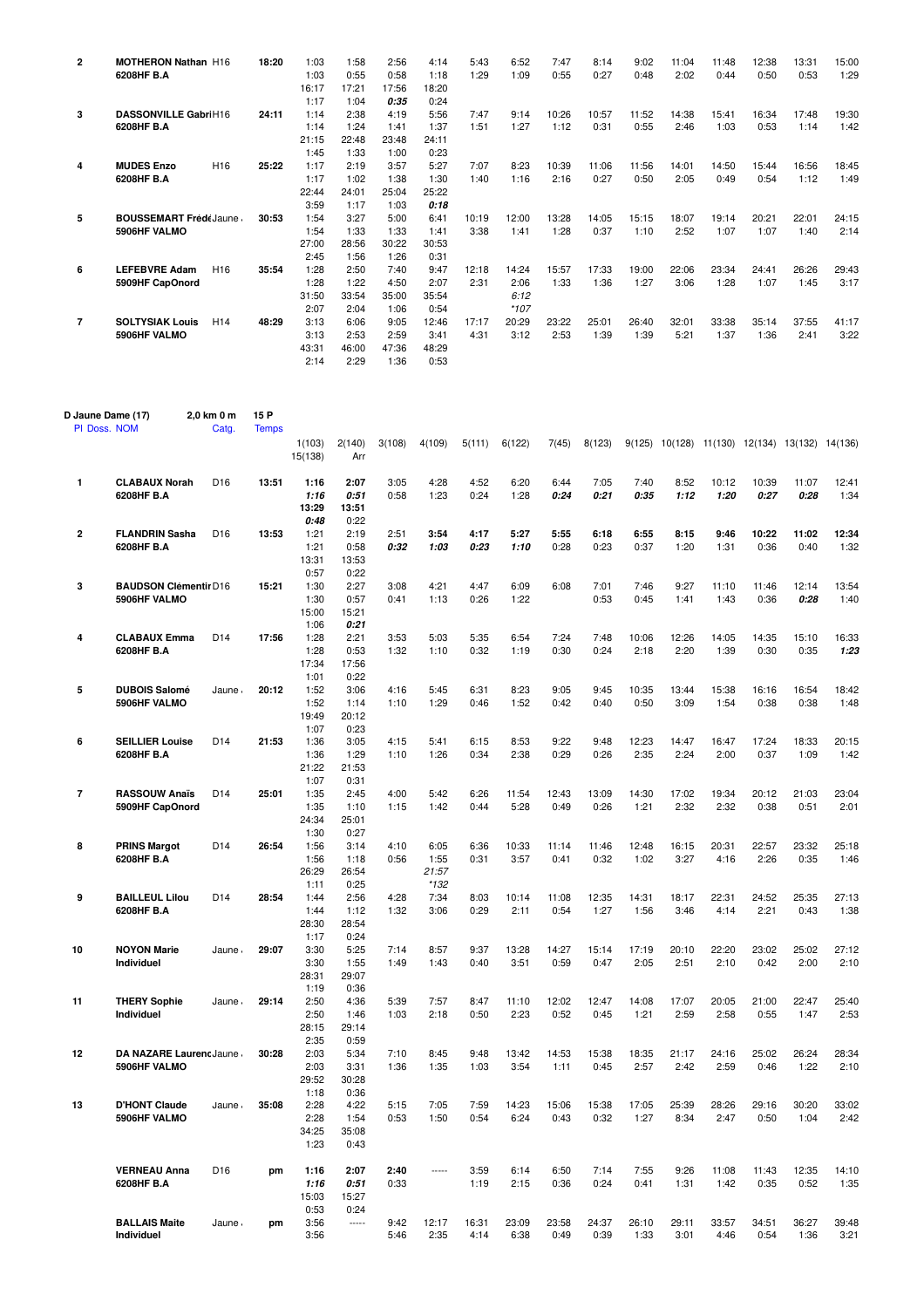| $\overline{2}$ | <b>MOTHERON Nathan H16</b> |                              | 18:20 | 1:03  | 1:58  | 2:56  | 4:14          | 5:43  | 6:52          | 7:47  | 8:14  | 9:02  | 11:04 | 11:48 | 12:38 | 13:31 | 15:00 |
|----------------|----------------------------|------------------------------|-------|-------|-------|-------|---------------|-------|---------------|-------|-------|-------|-------|-------|-------|-------|-------|
|                | 6208HF B.A                 |                              |       | 1:03  | 0:55  | 0:58  | 1:18          | 1:29  | 1:09          | 0:55  | 0:27  | 0:48  | 2:02  | 0:44  | 0:50  | 0:53  | 1:29  |
|                |                            |                              |       | 16:17 | 17:21 | 17:56 | 18:20         |       |               |       |       |       |       |       |       |       |       |
|                |                            |                              |       | 1:17  | 1:04  | 0:35  | 0:24          |       |               |       |       |       |       |       |       |       |       |
| 3              | DASSONVILLE GabriH16       |                              | 24:11 | 1:14  | 2:38  | 4:19  | 5:56          | 7:47  | 9:14          | 10:26 | 10:57 | 11:52 | 14:38 | 15:41 | 16:34 | 17:48 | 19:30 |
|                | 6208HF B.A                 |                              |       | 1:14  | 1:24  | 1:41  | 1:37          | 1:51  | 1:27          | 1:12  | 0:31  | 0:55  | 2:46  | 1:03  | 0:53  | 1:14  | 1:42  |
|                |                            |                              |       | 21:15 | 22:48 | 23:48 | 24:11         |       |               |       |       |       |       |       |       |       |       |
|                |                            |                              |       | 1:45  | 1:33  | 1:00  | 0:23          |       |               |       |       |       |       |       |       |       |       |
| 4              | <b>MUDES Enzo</b>          | H <sub>16</sub>              | 25:22 | 1:17  | 2:19  | 3:57  | 5:27          | 7:07  | 8:23          | 10:39 | 11:06 | 11:56 | 14:01 | 14:50 | 15:44 | 16:56 | 18:45 |
|                | 6208HF B.A                 |                              |       | 1:17  | 1:02  | 1:38  | 1:30          | 1:40  | 1:16          | 2:16  | 0:27  | 0:50  | 2:05  | 0:49  | 0:54  | 1:12  | 1:49  |
|                |                            |                              |       | 22:44 | 24:01 | 25:04 | 25:22         |       |               |       |       |       |       |       |       |       |       |
|                |                            |                              |       | 3:59  | 1:17  | 1:03  | 0:18          |       |               |       |       |       |       |       |       |       |       |
| 5              |                            |                              | 30:53 | 1:54  | 3:27  | 5:00  | 6:41          | 10:19 | 12:00         | 13:28 | 14:05 | 15:15 | 18:07 | 19:14 | 20:21 | 22:01 | 24:15 |
|                | 5906HF VALMO               | <b>BOUSSEMART FrédéJaune</b> |       | 1:54  | 1:33  | 1:33  | 1:41          | 3:38  | 1:41          | 1:28  | 0:37  | 1:10  | 2:52  | 1:07  | 1:07  | 1:40  | 2:14  |
|                |                            |                              |       | 27:00 | 28:56 | 30:22 | 30:53         |       |               |       |       |       |       |       |       |       |       |
|                |                            |                              |       | 2:45  | 1:56  | 1:26  | 0:31          |       |               |       |       |       |       |       |       |       |       |
| 6              | <b>LEFEBVRE Adam</b>       | H <sub>16</sub>              | 35:54 | 1:28  | 2:50  | 7:40  | 9:47          | 12:18 | 14:24         | 15:57 | 17:33 | 19:00 | 22:06 | 23:34 | 24:41 | 26:26 | 29:43 |
|                | 5909HF CapOnord            |                              |       | 1:28  | 1:22  | 4:50  | 2:07          | 2:31  | 2:06          | 1:33  | 1:36  | 1:27  | 3:06  | 1:28  | 1:07  | 1:45  | 3:17  |
|                |                            |                              |       | 31:50 | 33:54 | 35:00 | 35:54         |       | 6:12          |       |       |       |       |       |       |       |       |
|                |                            |                              |       | 2:07  | 2:04  | 1:06  |               |       |               |       |       |       |       |       |       |       |       |
| $\overline{7}$ | <b>SOLTYSIAK Louis</b>     | H <sub>14</sub>              | 48:29 | 3:13  | 6:06  |       | 0:54<br>12:46 | 17:17 | *107<br>20:29 | 23:22 | 25:01 | 26:40 |       | 33:38 | 35:14 |       | 41:17 |
|                |                            |                              |       |       |       | 9:05  |               |       |               |       |       |       | 32:01 |       |       | 37:55 |       |
|                | 5906HF VALMO               |                              |       | 3:13  | 2:53  | 2:59  | 3:41          | 4:31  | 3:12          | 2:53  | 1:39  | 1:39  | 5:21  | 1:37  | 1:36  | 2:41  | 3:22  |
|                |                            |                              |       | 43:31 | 46:00 | 47:36 | 48:29         |       |               |       |       |       |       |       |       |       |       |
|                |                            |                              |       | 2:14  | 2:29  | 1:36  | 0:53          |       |               |       |       |       |       |       |       |       |       |

|    | D Jaune Dame (17)<br>PI Doss. NOM       | 2,0 km 0 m<br>Catg. | 15 P<br><b>Temps</b> |                               |                               |              |                         |               |               |               |               |               |               |               |               |                                                |               |
|----|-----------------------------------------|---------------------|----------------------|-------------------------------|-------------------------------|--------------|-------------------------|---------------|---------------|---------------|---------------|---------------|---------------|---------------|---------------|------------------------------------------------|---------------|
|    |                                         |                     |                      | 1(103)<br>15(138)             | 2(140)<br>Arr                 | 3(108)       | 4(109)                  | 5(111)        | 6(122)        | 7(45)         | 8(123)        |               |               |               |               | 9(125) 10(128) 11(130) 12(134) 13(132) 14(136) |               |
| 1  | <b>CLABAUX Norah</b>                    | D <sub>16</sub>     | 13:51                | 1:16                          | 2:07                          | 3:05         | 4:28                    | 4:52          | 6:20          | 6:44          | 7:05          | 7:40          | 8:52          | 10:12         | 10:39         | 11:07                                          | 12:41         |
|    | 6208HF B.A                              |                     |                      | 1:16<br>13:29<br>0:48         | 0:51<br>13:51                 | 0:58         | 1:23                    | 0:24          | 1:28          | 0:24          | 0:21          | 0:35          | 1:12          | 1:20          | 0:27          | 0:28                                           | 1:34          |
| 2  | <b>FLANDRIN Sasha</b>                   | D <sub>16</sub>     | 13:53                | 1:21                          | 0:22<br>2:19                  | 2:51         | 3:54                    | 4:17          | 5:27          | 5:55          | 6:18          | 6:55          | 8:15          | 9:46          | 10:22         | 11:02                                          | 12:34         |
|    | 6208HF B.A                              |                     |                      | 1:21<br>13:31<br>0:57         | 0:58<br>13:53<br>0:22         | 0:32         | 1:03                    | 0:23          | 1:10          | 0:28          | 0:23          | 0:37          | 1:20          | 1:31          | 0:36          | 0:40                                           | 1:32          |
| 3  | <b>BAUDSON Clémentir D16</b>            |                     | 15:21                | 1:30                          | 2:27                          | 3:08         | 4:21                    | 4:47          | 6:09          | 6:08          | 7:01          | 7:46          | 9:27          | 11:10         | 11:46         | 12:14                                          | 13:54         |
|    | 5906HF VALMO                            |                     |                      | 1:30<br>15:00<br>1:06         | 0:57<br>15:21<br>0:21         | 0:41         | 1:13                    | 0:26          | 1:22          |               | 0:53          | 0:45          | 1:41          | 1:43          | 0:36          | 0:28                                           | 1:40          |
| 4  | <b>CLABAUX Emma</b>                     | D <sub>14</sub>     | 17:56                | 1:28                          | 2:21                          | 3:53         | 5:03                    | 5:35          | 6:54          | 7:24          | 7:48          | 10:06         | 12:26         | 14:05         | 14:35         | 15:10                                          | 16:33         |
|    | 6208HF B.A                              |                     |                      | 1:28<br>17:34<br>1:01         | 0:53<br>17:56<br>0:22         | 1:32         | 1:10                    | 0:32          | 1:19          | 0:30          | 0:24          | 2:18          | 2:20          | 1:39          | 0:30          | 0:35                                           | 1:23          |
| 5  | <b>DUBOIS Salomé</b>                    | Jaune               | 20:12                | 1:52                          | 3:06                          | 4:16         | 5:45                    | 6:31          | 8:23          | 9:05          | 9:45          | 10:35         | 13:44         | 15:38         | 16:16         | 16:54                                          | 18:42         |
|    | 5906HF VALMO                            |                     |                      | 1:52<br>19:49<br>1:07         | 1:14<br>20:12<br>0:23         | 1:10         | 1:29                    | 0:46          | 1:52          | 0:42          | 0:40          | 0:50          | 3:09          | 1:54          | 0:38          | 0:38                                           | 1:48          |
| 6  | <b>SEILLIER Louise</b>                  | D <sub>14</sub>     | 21:53                | 1:36                          | 3:05                          | 4:15         | 5:41                    | 6:15          | 8:53          | 9:22          | 9:48          | 12:23         | 14:47         | 16:47         | 17:24         | 18:33                                          | 20:15         |
|    | 6208HF B.A                              |                     |                      | 1:36<br>21:22<br>1:07         | 1:29<br>21:53<br>0:31         | 1:10         | 1:26                    | 0:34          | 2:38          | 0:29          | 0:26          | 2:35          | 2:24          | 2:00          | 0:37          | 1:09                                           | 1:42          |
| 7  | <b>RASSOUW Anaïs</b><br>5909HF CapOnord | D <sub>14</sub>     | 25:01                | 1:35<br>1:35<br>24:34<br>1:30 | 2:45<br>1:10<br>25:01<br>0:27 | 4:00<br>1:15 | 5:42<br>1:42            | 6:26<br>0:44  | 11:54<br>5:28 | 12:43<br>0:49 | 13:09<br>0:26 | 14:30<br>1:21 | 17:02<br>2:32 | 19:34<br>2:32 | 20:12<br>0:38 | 21:03<br>0:51                                  | 23:04<br>2:01 |
| 8  | <b>PRINS Margot</b>                     | D <sub>14</sub>     | 26:54                | 1:56                          | 3:14                          | 4:10         | 6:05                    | 6:36          | 10:33         | 11:14         | 11:46         | 12:48         | 16:15         | 20:31         | 22:57         | 23:32                                          | 25:18         |
|    | 6208HF B.A                              |                     |                      | 1:56<br>26:29<br>1:11         | 1:18<br>26:54<br>0:25         | 0:56         | 1:55<br>21:57<br>$*132$ | 0:31          | 3:57          | 0:41          | 0:32          | 1:02          | 3:27          | 4:16          | 2:26          | 0:35                                           | 1:46          |
| 9  | <b>BAILLEUL Lilou</b><br>6208HF B.A     | D <sub>14</sub>     | 28:54                | 1:44<br>1:44<br>28:30         | 2:56<br>1:12<br>28:54         | 4:28<br>1:32 | 7:34<br>3:06            | 8:03<br>0:29  | 10:14<br>2:11 | 11:08<br>0:54 | 12:35<br>1:27 | 14:31<br>1:56 | 18:17<br>3:46 | 22:31<br>4:14 | 24:52<br>2:21 | 25:35<br>0:43                                  | 27:13<br>1:38 |
|    |                                         |                     |                      | 1:17                          | 0:24                          |              |                         |               |               |               |               |               |               |               |               |                                                |               |
| 10 | <b>NOYON Marie</b><br>Individuel        | Jaune               | 29:07                | 3:30<br>3:30<br>28:31<br>1:19 | 5:25<br>1:55<br>29:07<br>0:36 | 7:14<br>1:49 | 8:57<br>1:43            | 9:37<br>0:40  | 13:28<br>3:51 | 14:27<br>0:59 | 15:14<br>0:47 | 17:19<br>2:05 | 20:10<br>2:51 | 22:20<br>2:10 | 23:02<br>0:42 | 25:02<br>2:00                                  | 27:12<br>2:10 |
| 11 | <b>THERY Sophie</b>                     | Jaune               | 29:14                | 2:50                          | 4:36                          | 5:39         | 7:57                    | 8:47          | 11:10         | 12:02         | 12:47         | 14:08         | 17:07         | 20:05         | 21:00         | 22:47                                          | 25:40         |
|    | Individuel                              |                     |                      | 2:50<br>28:15<br>2:35         | 1:46<br>29:14<br>0:59         | 1:03         | 2:18                    | 0:50          | 2:23          | 0:52          | 0:45          | 1:21          | 2:59          | 2:58          | 0:55          | 1:47                                           | 2:53          |
| 12 | DA NAZARE Laurenc Jaune                 |                     | 30:28                | 2:03                          | 5:34                          | 7:10         | 8:45                    | 9:48          | 13:42         | 14:53         | 15:38         | 18:35         | 21:17         | 24:16         | 25:02         | 26:24                                          | 28:34         |
|    | 5906HF VALMO                            |                     |                      | 2:03<br>29:52<br>1:18         | 3:31<br>30:28<br>0:36         | 1:36         | 1:35                    | 1:03          | 3:54          | 1:11          | 0:45          | 2:57          | 2:42          | 2:59          | 0:46          | 1:22                                           | 2:10          |
| 13 | <b>D'HONT Claude</b><br>5906HF VALMO    | Jaune ,             | 35:08                | 2:28<br>2:28<br>34:25<br>1:23 | 4:22<br>1:54<br>35:08<br>0:43 | 5:15<br>0:53 | 7:05<br>1:50            | 7:59<br>0:54  | 14:23<br>6:24 | 15:06<br>0:43 | 15:38<br>0:32 | 17:05<br>1:27 | 25:39<br>8:34 | 28:26<br>2:47 | 29:16<br>0:50 | 30:20<br>1:04                                  | 33:02<br>2:42 |
|    | <b>VERNEAU Anna</b><br>6208HF B.A       | D <sub>16</sub>     | pm                   | 1:16<br>1:16<br>15:03<br>0:53 | 2:07<br>0:51<br>15:27<br>0:24 | 2:40<br>0:33 | -----                   | 3:59<br>1:19  | 6:14<br>2:15  | 6:50<br>0:36  | 7:14<br>0:24  | 7:55<br>0:41  | 9:26<br>1:31  | 11:08<br>1:42 | 11:43<br>0:35 | 12:35<br>0:52                                  | 14:10<br>1:35 |
|    | <b>BALLAIS Maite</b><br>Individuel      | Jaune.              | pm                   | 3:56<br>3:56                  | $\overline{\phantom{a}}$      | 9:42<br>5:46 | 12:17<br>2:35           | 16:31<br>4:14 | 23:09<br>6:38 | 23:58<br>0:49 | 24:37<br>0:39 | 26:10<br>1:33 | 29:11<br>3:01 | 33:57<br>4:46 | 34:51<br>0:54 | 36:27<br>1:36                                  | 39:48<br>3:21 |